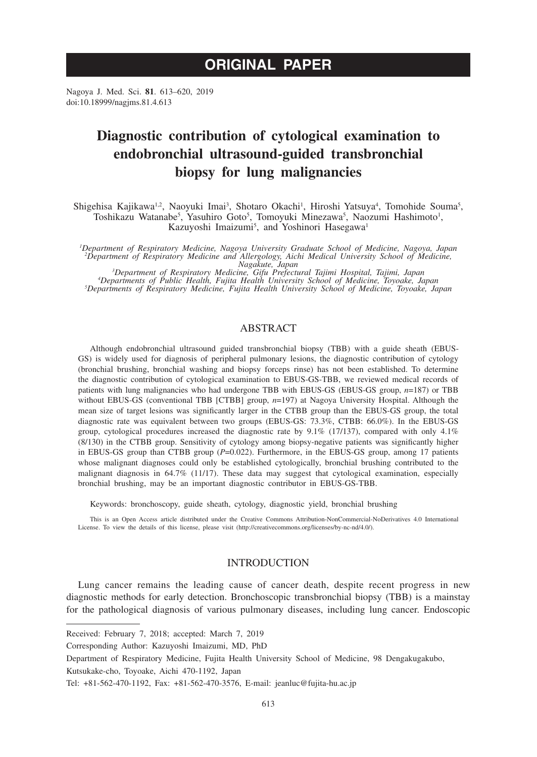# **ORIGINAL PAPER**

Nagoya J. Med. Sci. **81**. 613–620, 2019 doi:10.18999/nagjms.81.4.613

# **Diagnostic contribution of cytological examination to endobronchial ultrasound-guided transbronchial biopsy for lung malignancies**

Shigehisa Kajikawa<sup>1,2</sup>, Naoyuki Imai<sup>3</sup>, Shotaro Okachi<sup>1</sup>, Hiroshi Yatsuya<sup>4</sup>, Tomohide Souma<sup>5</sup>, Toshikazu Watanabe<sup>5</sup>, Yasuhiro Goto<sup>5</sup>, Tomoyuki Minezawa<sup>5</sup>, Naozumi Hashimoto<sup>1</sup>, Kazuyoshi Imaizumi<sup>5</sup>, and Yoshinori Hasegawa<sup>1</sup>

*1 Department of Respiratory Medicine, Nagoya University Graduate School of Medicine, Nagoya, Japan 2 Department of Respiratory Medicine and Allergology, Aichi Medical University School of Medicine,* 

Nagakute, Japan<br><sup>3</sup>Department of Respiratory Medicine, Gifu Prefectural Tajimi Hospital, Tajimi, Japan<sup>3</sup><br>4Departments of Public Health, Fujita Health University School of Medicine, Toyoake, Japan<sup>4</sup><br>6)Pepartments of Respi *Departments of Respiratory Medicine, Fujita Health University School of Medicine, Toyoake, Japan*

## ABSTRACT

Although endobronchial ultrasound guided transbronchial biopsy (TBB) with a guide sheath (EBUS-GS) is widely used for diagnosis of peripheral pulmonary lesions, the diagnostic contribution of cytology (bronchial brushing, bronchial washing and biopsy forceps rinse) has not been established. To determine the diagnostic contribution of cytological examination to EBUS-GS-TBB, we reviewed medical records of patients with lung malignancies who had undergone TBB with EBUS-GS (EBUS-GS group, *n*=187) or TBB without EBUS-GS (conventional TBB [CTBB] group, *n*=197) at Nagoya University Hospital. Although the mean size of target lesions was significantly larger in the CTBB group than the EBUS-GS group, the total diagnostic rate was equivalent between two groups (EBUS-GS: 73.3%, CTBB: 66.0%). In the EBUS-GS group, cytological procedures increased the diagnostic rate by 9.1% (17/137), compared with only 4.1% (8/130) in the CTBB group. Sensitivity of cytology among biopsy-negative patients was significantly higher in EBUS-GS group than CTBB group (*P*=0.022). Furthermore, in the EBUS-GS group, among 17 patients whose malignant diagnoses could only be established cytologically, bronchial brushing contributed to the malignant diagnosis in 64.7% (11/17). These data may suggest that cytological examination, especially bronchial brushing, may be an important diagnostic contributor in EBUS-GS-TBB.

Keywords: bronchoscopy, guide sheath, cytology, diagnostic yield, bronchial brushing

This is an Open Access article distributed under the Creative Commons Attribution-NonCommercial-NoDerivatives 4.0 International License. To view the details of this license, please visit (http://creativecommons.org/licenses/by-nc-nd/4.0/).

## INTRODUCTION

Lung cancer remains the leading cause of cancer death, despite recent progress in new diagnostic methods for early detection. Bronchoscopic transbronchial biopsy (TBB) is a mainstay for the pathological diagnosis of various pulmonary diseases, including lung cancer. Endoscopic

Received: February 7, 2018; accepted: March 7, 2019

Corresponding Author: Kazuyoshi Imaizumi, MD, PhD

Department of Respiratory Medicine, Fujita Health University School of Medicine, 98 Dengakugakubo,

Kutsukake-cho, Toyoake, Aichi 470-1192, Japan

Tel: +81-562-470-1192, Fax: +81-562-470-3576, E-mail: jeanluc@fujita-hu.ac.jp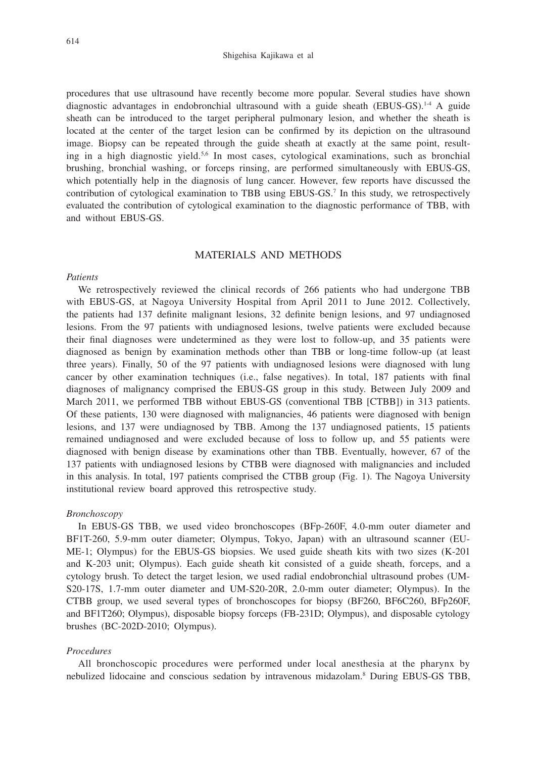### Shigehisa Kajikawa et al

procedures that use ultrasound have recently become more popular. Several studies have shown diagnostic advantages in endobronchial ultrasound with a guide sheath (EBUS-GS).1-4 A guide sheath can be introduced to the target peripheral pulmonary lesion, and whether the sheath is located at the center of the target lesion can be confirmed by its depiction on the ultrasound image. Biopsy can be repeated through the guide sheath at exactly at the same point, resulting in a high diagnostic yield.5,6 In most cases, cytological examinations, such as bronchial brushing, bronchial washing, or forceps rinsing, are performed simultaneously with EBUS-GS, which potentially help in the diagnosis of lung cancer. However, few reports have discussed the contribution of cytological examination to TBB using EBUS-GS.7 In this study, we retrospectively evaluated the contribution of cytological examination to the diagnostic performance of TBB, with and without EBUS-GS.

## MATERIALS AND METHODS

#### *Patients*

We retrospectively reviewed the clinical records of 266 patients who had undergone TBB with EBUS-GS, at Nagoya University Hospital from April 2011 to June 2012. Collectively, the patients had 137 definite malignant lesions, 32 definite benign lesions, and 97 undiagnosed lesions. From the 97 patients with undiagnosed lesions, twelve patients were excluded because their final diagnoses were undetermined as they were lost to follow-up, and 35 patients were diagnosed as benign by examination methods other than TBB or long-time follow-up (at least three years). Finally, 50 of the 97 patients with undiagnosed lesions were diagnosed with lung cancer by other examination techniques (i.e., false negatives). In total, 187 patients with final diagnoses of malignancy comprised the EBUS-GS group in this study. Between July 2009 and March 2011, we performed TBB without EBUS-GS (conventional TBB [CTBB]) in 313 patients. Of these patients, 130 were diagnosed with malignancies, 46 patients were diagnosed with benign lesions, and 137 were undiagnosed by TBB. Among the 137 undiagnosed patients, 15 patients remained undiagnosed and were excluded because of loss to follow up, and 55 patients were diagnosed with benign disease by examinations other than TBB. Eventually, however, 67 of the 137 patients with undiagnosed lesions by CTBB were diagnosed with malignancies and included in this analysis. In total, 197 patients comprised the CTBB group (Fig. 1). The Nagoya University institutional review board approved this retrospective study.

#### *Bronchoscopy*

In EBUS-GS TBB, we used video bronchoscopes (BFp-260F, 4.0-mm outer diameter and BF1T-260, 5.9-mm outer diameter; Olympus, Tokyo, Japan) with an ultrasound scanner (EU-ME-1; Olympus) for the EBUS-GS biopsies. We used guide sheath kits with two sizes (K-201 and K-203 unit; Olympus). Each guide sheath kit consisted of a guide sheath, forceps, and a cytology brush. To detect the target lesion, we used radial endobronchial ultrasound probes (UM-S20-17S, 1.7-mm outer diameter and UM-S20-20R, 2.0-mm outer diameter; Olympus). In the CTBB group, we used several types of bronchoscopes for biopsy (BF260, BF6C260, BFp260F, and BF1T260; Olympus), disposable biopsy forceps (FB-231D; Olympus), and disposable cytology brushes (BC-202D-2010; Olympus).

#### *Procedures*

All bronchoscopic procedures were performed under local anesthesia at the pharynx by nebulized lidocaine and conscious sedation by intravenous midazolam.8 During EBUS-GS TBB,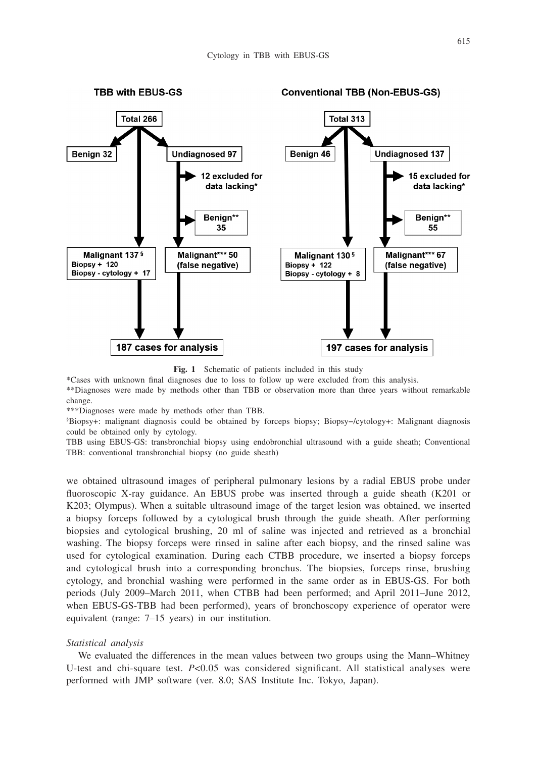

**Fig. 1** Schematic of patients included in this study

\*Cases with unknown final diagnoses due to loss to follow up were excluded from this analysis.

\*\*Diagnoses were made by methods other than TBB or observation more than three years without remarkable change.

\*\*\*Diagnoses were made by methods other than TBB.

§ Biopsy+: malignant diagnosis could be obtained by forceps biopsy; Biopsy−/cytology+: Malignant diagnosis could be obtained only by cytology.

TBB using EBUS-GS: transbronchial biopsy using endobronchial ultrasound with a guide sheath; Conventional TBB: conventional transbronchial biopsy (no guide sheath)

we obtained ultrasound images of peripheral pulmonary lesions by a radial EBUS probe under fluoroscopic X-ray guidance. An EBUS probe was inserted through a guide sheath (K201 or K203; Olympus). When a suitable ultrasound image of the target lesion was obtained, we inserted a biopsy forceps followed by a cytological brush through the guide sheath. After performing biopsies and cytological brushing, 20 ml of saline was injected and retrieved as a bronchial washing. The biopsy forceps were rinsed in saline after each biopsy, and the rinsed saline was used for cytological examination. During each CTBB procedure, we inserted a biopsy forceps and cytological brush into a corresponding bronchus. The biopsies, forceps rinse, brushing cytology, and bronchial washing were performed in the same order as in EBUS-GS. For both periods (July 2009–March 2011, when CTBB had been performed; and April 2011–June 2012, when EBUS-GS-TBB had been performed), years of bronchoscopy experience of operator were equivalent (range: 7–15 years) in our institution.

### *Statistical analysis*

We evaluated the differences in the mean values between two groups using the Mann–Whitney U-test and chi-square test. *P*<0.05 was considered significant. All statistical analyses were performed with JMP software (ver. 8.0; SAS Institute Inc. Tokyo, Japan).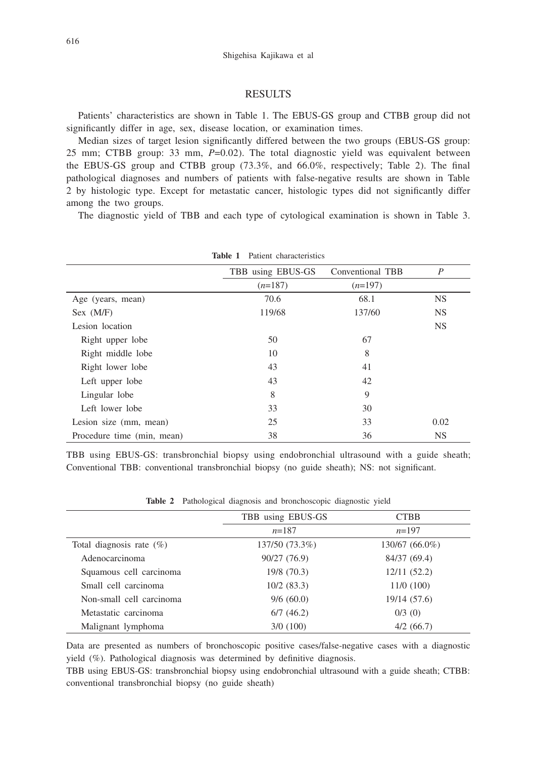## RESULTS

Patients' characteristics are shown in Table 1. The EBUS-GS group and CTBB group did not significantly differ in age, sex, disease location, or examination times.

Median sizes of target lesion significantly differed between the two groups (EBUS-GS group: 25 mm; CTBB group: 33 mm, *P*=0.02). The total diagnostic yield was equivalent between the EBUS-GS group and CTBB group (73.3%, and 66.0%, respectively; Table 2). The final pathological diagnoses and numbers of patients with false-negative results are shown in Table 2 by histologic type. Except for metastatic cancer, histologic types did not significantly differ among the two groups.

The diagnostic yield of TBB and each type of cytological examination is shown in Table 3.

|                            | Patient characteristics<br>Table 1 |                  |           |
|----------------------------|------------------------------------|------------------|-----------|
|                            | TBB using EBUS-GS                  | Conventional TBB | P         |
|                            | $(n=187)$                          | $(n=197)$        |           |
| Age (years, mean)          | 70.6                               | 68.1             | <b>NS</b> |
| Sex (M/F)                  | 119/68                             | 137/60           | <b>NS</b> |
| Lesion location            |                                    |                  | <b>NS</b> |
| Right upper lobe           | 50                                 | 67               |           |
| Right middle lobe          | 10                                 | 8                |           |
| Right lower lobe           | 43                                 | 41               |           |
| Left upper lobe            | 43                                 | 42               |           |
| Lingular lobe              | 8                                  | 9                |           |
| Left lower lobe            | 33                                 | 30               |           |
| Lesion size (mm, mean)     | 25                                 | 33               | 0.02      |
| Procedure time (min, mean) | 38                                 | 36               | <b>NS</b> |

TBB using EBUS-GS: transbronchial biopsy using endobronchial ultrasound with a guide sheath; Conventional TBB: conventional transbronchial biopsy (no guide sheath); NS: not significant.

|                             | TBB using EBUS-GS | <b>CTBB</b>    |  |
|-----------------------------|-------------------|----------------|--|
|                             | $n=187$           | $n=197$        |  |
| Total diagnosis rate $(\%)$ | 137/50 (73.3%)    | 130/67 (66.0%) |  |
| Adenocarcinoma              | 90/27 (76.9)      | 84/37 (69.4)   |  |
| Squamous cell carcinoma     | 19/8 (70.3)       | 12/11(52.2)    |  |
| Small cell carcinoma        | $10/2$ (83.3)     | 11/0(100)      |  |
| Non-small cell carcinoma    | 9/6(60.0)         | 19/14 (57.6)   |  |
| Metastatic carcinoma        | 6/7(46.2)         | $0/3$ (0)      |  |
| Malignant lymphoma          | 3/0(100)          | 4/2(66.7)      |  |

**Table 2** Pathological diagnosis and bronchoscopic diagnostic yield

Data are presented as numbers of bronchoscopic positive cases/false-negative cases with a diagnostic yield (%). Pathological diagnosis was determined by definitive diagnosis.

TBB using EBUS-GS: transbronchial biopsy using endobronchial ultrasound with a guide sheath; CTBB: conventional transbronchial biopsy (no guide sheath)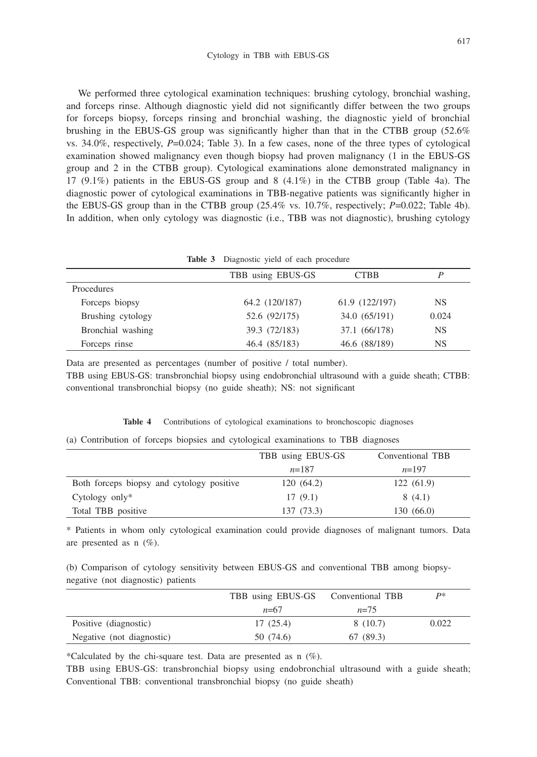We performed three cytological examination techniques: brushing cytology, bronchial washing, and forceps rinse. Although diagnostic yield did not significantly differ between the two groups for forceps biopsy, forceps rinsing and bronchial washing, the diagnostic yield of bronchial brushing in the EBUS-GS group was significantly higher than that in the CTBB group (52.6% vs. 34.0%, respectively, *P*=0.024; Table 3). In a few cases, none of the three types of cytological examination showed malignancy even though biopsy had proven malignancy (1 in the EBUS-GS group and 2 in the CTBB group). Cytological examinations alone demonstrated malignancy in 17 (9.1%) patients in the EBUS-GS group and 8 (4.1%) in the CTBB group (Table 4a). The diagnostic power of cytological examinations in TBB-negative patients was significantly higher in the EBUS-GS group than in the CTBB group  $(25.4\% \text{ vs. } 10.7\%$ , respectively;  $P=0.022$ ; Table 4b). In addition, when only cytology was diagnostic (i.e., TBB was not diagnostic), brushing cytology

| Table 3 Diagnostic yield of each procedure |  |  |  |  |  |
|--------------------------------------------|--|--|--|--|--|
|--------------------------------------------|--|--|--|--|--|

|                   | TBB using EBUS-GS | <b>CTBB</b>    | P         |
|-------------------|-------------------|----------------|-----------|
| Procedures        |                   |                |           |
| Forceps biopsy    | 64.2 (120/187)    | 61.9 (122/197) | NS        |
| Brushing cytology | 52.6 (92/175)     | 34.0 (65/191)  | 0.024     |
| Bronchial washing | 39.3 (72/183)     | 37.1 (66/178)  | <b>NS</b> |
| Forceps rinse     | 46.4 (85/183)     | 46.6 (88/189)  | NS        |

Data are presented as percentages (number of positive / total number).

TBB using EBUS-GS: transbronchial biopsy using endobronchial ultrasound with a guide sheath; CTBB: conventional transbronchial biopsy (no guide sheath); NS: not significant

| Table 4 | Contributions of cytological examinations to bronchoscopic diagnoses |  |  |  |  |  |  |
|---------|----------------------------------------------------------------------|--|--|--|--|--|--|
|---------|----------------------------------------------------------------------|--|--|--|--|--|--|

|  |  |  | (a) Contribution of forceps biopsies and cytological examinations to TBB diagnoses |  |  |
|--|--|--|------------------------------------------------------------------------------------|--|--|
|  |  |  |                                                                                    |  |  |

|                                           | TBB using EBUS-GS | Conventional TBB |
|-------------------------------------------|-------------------|------------------|
|                                           | $n=187$           | $n=197$          |
| Both forceps biopsy and cytology positive | 120(64.2)         | 122(61.9)        |
| Cytology only $*$                         | 17(9.1)           | 8(4.1)           |
| Total TBB positive                        | 137 (73.3)        | 130(66.0)        |

\* Patients in whom only cytological examination could provide diagnoses of malignant tumors. Data are presented as n (%).

(b) Comparison of cytology sensitivity between EBUS-GS and conventional TBB among biopsynegative (not diagnostic) patients

|                           | TBB using EBUS-GS | Conventional TBB | p*    |
|---------------------------|-------------------|------------------|-------|
|                           | $n=67$            | $n=75$           |       |
| Positive (diagnostic)     | 17(25.4)          | 8(10.7)          | 0.022 |
| Negative (not diagnostic) | 50 (74.6)         | 67 (89.3)        |       |

\*Calculated by the chi-square test. Data are presented as  $n$  (%).

TBB using EBUS-GS: transbronchial biopsy using endobronchial ultrasound with a guide sheath; Conventional TBB: conventional transbronchial biopsy (no guide sheath)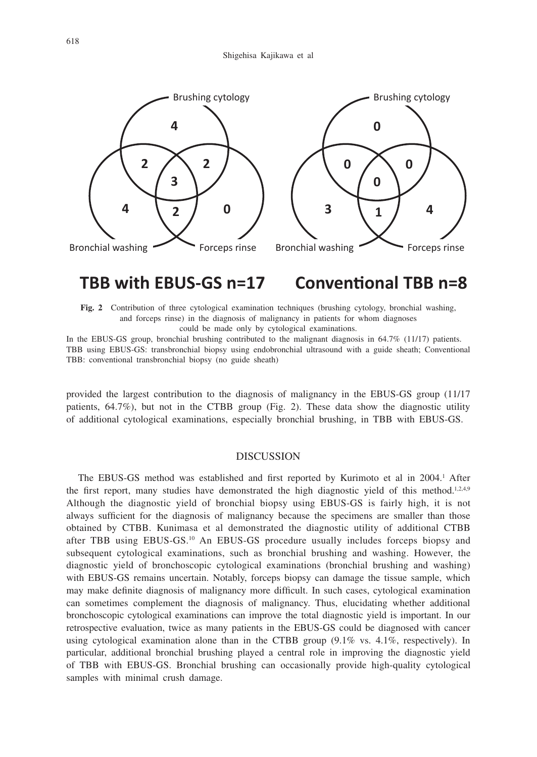

#### **TBB with EBUS-GS n=17 Conventional TBB n=8**

**Fig. 2** Contribution of three cytological examination techniques (brushing cytology, bronchial washing, and forceps rinse) in the diagnosis of malignancy in patients for whom diagnoses could be made only by cytological examinations.

In the EBUS-GS group, bronchial brushing contributed to the malignant diagnosis in 64.7% (11/17) patients. TBB using EBUS-GS: transbronchial biopsy using endobronchial ultrasound with a guide sheath; Conventional TBB: conventional transbronchial biopsy (no guide sheath)

provided the largest contribution to the diagnosis of malignancy in the EBUS-GS group (11/17 patients, 64.7%), but not in the CTBB group (Fig. 2). These data show the diagnostic utility of additional cytological examinations, especially bronchial brushing, in TBB with EBUS-GS.

## DISCUSSION

The EBUS-GS method was established and first reported by Kurimoto et al in 2004.<sup>1</sup> After the first report, many studies have demonstrated the high diagnostic yield of this method.<sup>1,2,4,9</sup> Although the diagnostic yield of bronchial biopsy using EBUS-GS is fairly high, it is not always sufficient for the diagnosis of malignancy because the specimens are smaller than those obtained by CTBB. Kunimasa et al demonstrated the diagnostic utility of additional CTBB after TBB using EBUS-GS.10 An EBUS-GS procedure usually includes forceps biopsy and subsequent cytological examinations, such as bronchial brushing and washing. However, the diagnostic yield of bronchoscopic cytological examinations (bronchial brushing and washing) with EBUS-GS remains uncertain. Notably, forceps biopsy can damage the tissue sample, which may make definite diagnosis of malignancy more difficult. In such cases, cytological examination can sometimes complement the diagnosis of malignancy. Thus, elucidating whether additional bronchoscopic cytological examinations can improve the total diagnostic yield is important. In our retrospective evaluation, twice as many patients in the EBUS-GS could be diagnosed with cancer using cytological examination alone than in the CTBB group  $(9.1\%$  vs.  $4.1\%$ , respectively). In particular, additional bronchial brushing played a central role in improving the diagnostic yield of TBB with EBUS-GS. Bronchial brushing can occasionally provide high-quality cytological samples with minimal crush damage.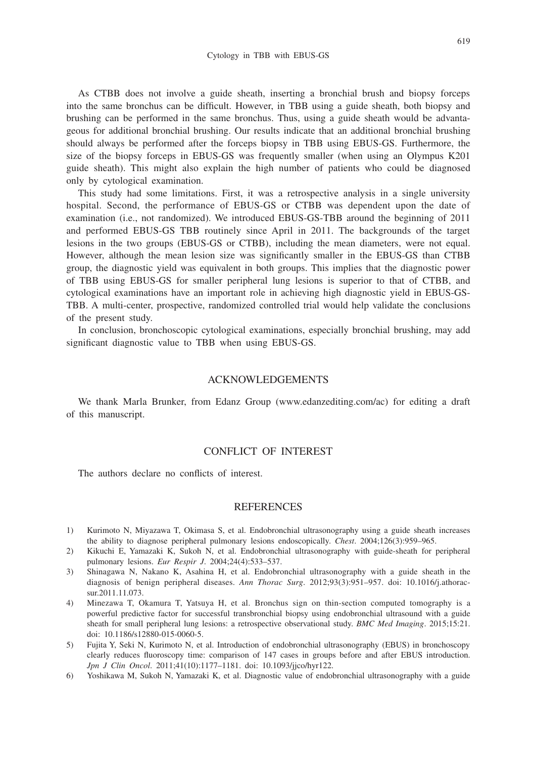As CTBB does not involve a guide sheath, inserting a bronchial brush and biopsy forceps into the same bronchus can be difficult. However, in TBB using a guide sheath, both biopsy and brushing can be performed in the same bronchus. Thus, using a guide sheath would be advantageous for additional bronchial brushing. Our results indicate that an additional bronchial brushing should always be performed after the forceps biopsy in TBB using EBUS-GS. Furthermore, the size of the biopsy forceps in EBUS-GS was frequently smaller (when using an Olympus K201 guide sheath). This might also explain the high number of patients who could be diagnosed only by cytological examination.

This study had some limitations. First, it was a retrospective analysis in a single university hospital. Second, the performance of EBUS-GS or CTBB was dependent upon the date of examination (i.e., not randomized). We introduced EBUS-GS-TBB around the beginning of 2011 and performed EBUS-GS TBB routinely since April in 2011. The backgrounds of the target lesions in the two groups (EBUS-GS or CTBB), including the mean diameters, were not equal. However, although the mean lesion size was significantly smaller in the EBUS-GS than CTBB group, the diagnostic yield was equivalent in both groups. This implies that the diagnostic power of TBB using EBUS-GS for smaller peripheral lung lesions is superior to that of CTBB, and cytological examinations have an important role in achieving high diagnostic yield in EBUS-GS-TBB. A multi-center, prospective, randomized controlled trial would help validate the conclusions of the present study.

In conclusion, bronchoscopic cytological examinations, especially bronchial brushing, may add significant diagnostic value to TBB when using EBUS-GS.

## ACKNOWLEDGEMENTS

We thank Marla Brunker, from Edanz Group (www.edanzediting.com/ac) for editing a draft of this manuscript.

## CONFLICT OF INTEREST

The authors declare no conflicts of interest.

#### REFERENCES

- 1) Kurimoto N, Miyazawa T, Okimasa S, et al. Endobronchial ultrasonography using a guide sheath increases the ability to diagnose peripheral pulmonary lesions endoscopically. *Chest*. 2004;126(3):959–965.
- 2) Kikuchi E, Yamazaki K, Sukoh N, et al. Endobronchial ultrasonography with guide-sheath for peripheral pulmonary lesions. *Eur Respir J*. 2004;24(4):533–537.
- 3) Shinagawa N, Nakano K, Asahina H, et al. Endobronchial ultrasonography with a guide sheath in the diagnosis of benign peripheral diseases. *Ann Thorac Surg*. 2012;93(3):951–957. doi: 10.1016/j.athoracsur.2011.11.073.
- 4) Minezawa T, Okamura T, Yatsuya H, et al. Bronchus sign on thin-section computed tomography is a powerful predictive factor for successful transbronchial biopsy using endobronchial ultrasound with a guide sheath for small peripheral lung lesions: a retrospective observational study. *BMC Med Imaging*. 2015;15:21. doi: 10.1186/s12880-015-0060-5.
- 5) Fujita Y, Seki N, Kurimoto N, et al. Introduction of endobronchial ultrasonography (EBUS) in bronchoscopy clearly reduces fluoroscopy time: comparison of 147 cases in groups before and after EBUS introduction. *Jpn J Clin Oncol*. 2011;41(10):1177–1181. doi: 10.1093/jjco/hyr122.
- 6) Yoshikawa M, Sukoh N, Yamazaki K, et al. Diagnostic value of endobronchial ultrasonography with a guide